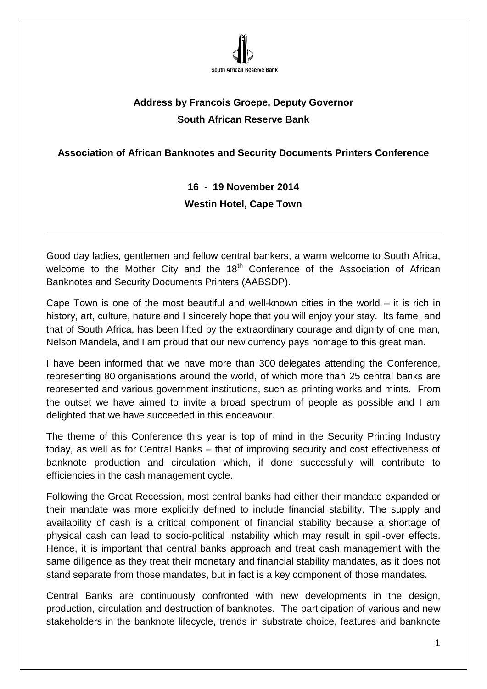

## **Address by Francois Groepe, Deputy Governor South African Reserve Bank**

## **Association of African Banknotes and Security Documents Printers Conference**

**16 - 19 November 2014 Westin Hotel, Cape Town**

Good day ladies, gentlemen and fellow central bankers, a warm welcome to South Africa, welcome to the Mother City and the  $18<sup>th</sup>$  Conference of the Association of African Banknotes and Security Documents Printers (AABSDP).

Cape Town is one of the most beautiful and well-known cities in the world – it is rich in history, art, culture, nature and I sincerely hope that you will enjoy your stay. Its fame, and that of South Africa, has been lifted by the extraordinary courage and dignity of one man, Nelson Mandela, and I am proud that our new currency pays homage to this great man.

I have been informed that we have more than 300 delegates attending the Conference, representing 80 organisations around the world, of which more than 25 central banks are represented and various government institutions, such as printing works and mints. From the outset we have aimed to invite a broad spectrum of people as possible and I am delighted that we have succeeded in this endeavour.

The theme of this Conference this year is top of mind in the Security Printing Industry today, as well as for Central Banks – that of improving security and cost effectiveness of banknote production and circulation which, if done successfully will contribute to efficiencies in the cash management cycle.

Following the Great Recession, most central banks had either their mandate expanded or their mandate was more explicitly defined to include financial stability. The supply and availability of cash is a critical component of financial stability because a shortage of physical cash can lead to socio-political instability which may result in spill-over effects. Hence, it is important that central banks approach and treat cash management with the same diligence as they treat their monetary and financial stability mandates, as it does not stand separate from those mandates, but in fact is a key component of those mandates.

Central Banks are continuously confronted with new developments in the design, production, circulation and destruction of banknotes. The participation of various and new stakeholders in the banknote lifecycle, trends in substrate choice, features and banknote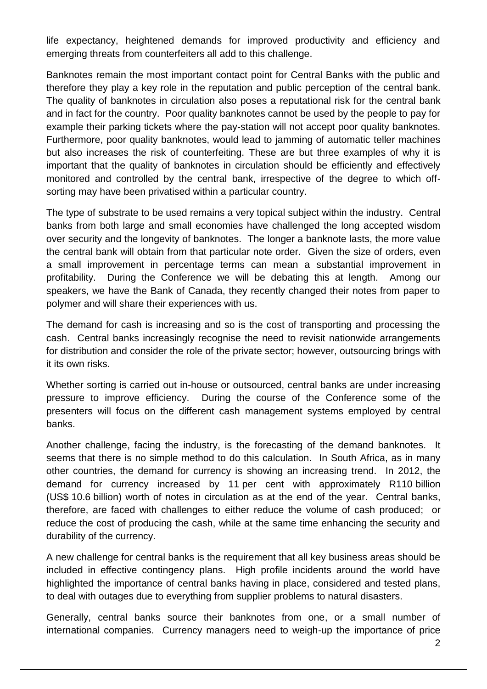life expectancy, heightened demands for improved productivity and efficiency and emerging threats from counterfeiters all add to this challenge.

Banknotes remain the most important contact point for Central Banks with the public and therefore they play a key role in the reputation and public perception of the central bank. The quality of banknotes in circulation also poses a reputational risk for the central bank and in fact for the country. Poor quality banknotes cannot be used by the people to pay for example their parking tickets where the pay-station will not accept poor quality banknotes. Furthermore, poor quality banknotes, would lead to jamming of automatic teller machines but also increases the risk of counterfeiting. These are but three examples of why it is important that the quality of banknotes in circulation should be efficiently and effectively monitored and controlled by the central bank, irrespective of the degree to which offsorting may have been privatised within a particular country.

The type of substrate to be used remains a very topical subject within the industry. Central banks from both large and small economies have challenged the long accepted wisdom over security and the longevity of banknotes. The longer a banknote lasts, the more value the central bank will obtain from that particular note order. Given the size of orders, even a small improvement in percentage terms can mean a substantial improvement in profitability. During the Conference we will be debating this at length. Among our speakers, we have the Bank of Canada, they recently changed their notes from paper to polymer and will share their experiences with us.

The demand for cash is increasing and so is the cost of transporting and processing the cash. Central banks increasingly recognise the need to revisit nationwide arrangements for distribution and consider the role of the private sector; however, outsourcing brings with it its own risks.

Whether sorting is carried out in-house or outsourced, central banks are under increasing pressure to improve efficiency. During the course of the Conference some of the presenters will focus on the different cash management systems employed by central banks.

Another challenge, facing the industry, is the forecasting of the demand banknotes. It seems that there is no simple method to do this calculation. In South Africa, as in many other countries, the demand for currency is showing an increasing trend. In 2012, the demand for currency increased by 11 per cent with approximately R110 billion (US\$ 10.6 billion) worth of notes in circulation as at the end of the year. Central banks, therefore, are faced with challenges to either reduce the volume of cash produced; or reduce the cost of producing the cash, while at the same time enhancing the security and durability of the currency.

A new challenge for central banks is the requirement that all key business areas should be included in effective contingency plans. High profile incidents around the world have highlighted the importance of central banks having in place, considered and tested plans, to deal with outages due to everything from supplier problems to natural disasters.

Generally, central banks source their banknotes from one, or a small number of international companies. Currency managers need to weigh-up the importance of price